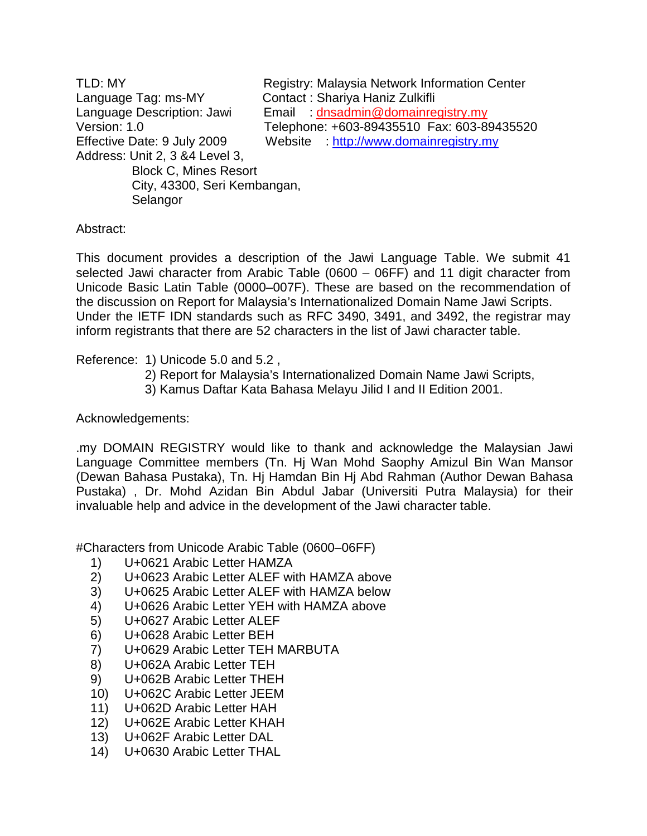TLD: MY Registry: Malaysia Network Information Center Language Tag: ms-MY Contact : Shariya Haniz Zulkifli Language Description: Jawi Email : dnsadmin@domainregistry.my Version: 1.0 Telephone: +603-89435510 Fax: 603-89435520 Effective Date: 9 July 2009 Website : http://www.domainregistry.my Address: Unit 2, 3 &4 Level 3, Block C, Mines Resort City, 43300, Seri Kembangan, **Selangor** 

## Abstract:

This document provides a description of the Jawi Language Table. We submit 41 selected Jawi character from Arabic Table (0600 – 06FF) and 11 digit character from Unicode Basic Latin Table (0000–007F). These are based on the recommendation of the discussion on Report for Malaysia's Internationalized Domain Name Jawi Scripts. Under the IETF IDN standards such as RFC 3490, 3491, and 3492, the registrar may inform registrants that there are 52 characters in the list of Jawi character table.

## Reference: 1) Unicode 5.0 and 5.2 ,

- 2) Report for Malaysia's Internationalized Domain Name Jawi Scripts,
- 3) Kamus Daftar Kata Bahasa Melayu Jilid I and II Edition 2001.

## Acknowledgements:

.my DOMAIN REGISTRY would like to thank and acknowledge the Malaysian Jawi Language Committee members (Tn. Hj Wan Mohd Saophy Amizul Bin Wan Mansor (Dewan Bahasa Pustaka), Tn. Hj Hamdan Bin Hj Abd Rahman (Author Dewan Bahasa Pustaka) , Dr. Mohd Azidan Bin Abdul Jabar (Universiti Putra Malaysia) for their invaluable help and advice in the development of the Jawi character table.

#Characters from Unicode Arabic Table (0600–06FF)

- 1) U+0621 Arabic Letter HAMZA
- 2) U+0623 Arabic Letter ALEF with HAMZA above
- 3) U+0625 Arabic Letter ALEF with HAMZA below
- 4) U+0626 Arabic Letter YEH with HAMZA above
- 5) U+0627 Arabic Letter ALEF
- 6) U+0628 Arabic Letter BEH
- 7) U+0629 Arabic Letter TEH MARBUTA
- 8) U+062A Arabic Letter TEH
- 9) U+062B Arabic Letter THEH
- 10) U+062C Arabic Letter JEEM
- 11) U+062D Arabic Letter HAH
- 12) U+062E Arabic Letter KHAH
- 13) U+062F Arabic Letter DAL
- 14) U+0630 Arabic Letter THAL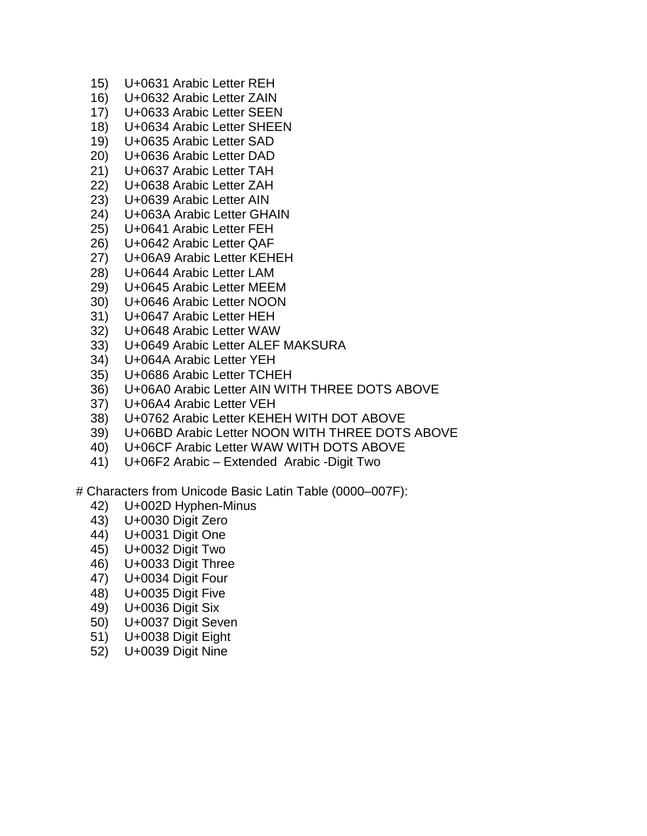- 15) U+0631 Arabic Letter REH
- 16) U+0632 Arabic Letter ZAIN
- 17) U+0633 Arabic Letter SEEN
- 18) U+0634 Arabic Letter SHEEN
- 19) U+0635 Arabic Letter SAD
- 20) U+0636 Arabic Letter DAD
- 21) U+0637 Arabic Letter TAH
- 22) U+0638 Arabic Letter ZAH
- 23) U+0639 Arabic Letter AIN
- 24) U+063A Arabic Letter GHAIN
- 25) U+0641 Arabic Letter FEH
- 26) U+0642 Arabic Letter QAF
- 27) U+06A9 Arabic Letter KEHEH
- 28) U+0644 Arabic Letter LAM
- 29) U+0645 Arabic Letter MEEM
- 30) U+0646 Arabic Letter NOON
- 31) U+0647 Arabic Letter HEH
- 32) U+0648 Arabic Letter WAW
- 33) U+0649 Arabic Letter ALEF MAKSURA
- 34) U+064A Arabic Letter YEH
- 35) U+0686 Arabic Letter TCHEH
- 36) U+06A0 Arabic Letter AIN WITH THREE DOTS ABOVE
- 37) U+06A4 Arabic Letter VEH
- 38) U+0762 Arabic Letter KEHEH WITH DOT ABOVE
- 39) U+06BD Arabic Letter NOON WITH THREE DOTS ABOVE
- 40) U+06CF Arabic Letter WAW WITH DOTS ABOVE
- 41) U+06F2 Arabic Extended Arabic -Digit Two
- # Characters from Unicode Basic Latin Table (0000–007F):
	- 42) U+002D Hyphen-Minus
	- 43) U+0030 Digit Zero
	- 44) U+0031 Digit One
	- 45) U+0032 Digit Two
	- 46) U+0033 Digit Three
	- 47) U+0034 Digit Four
	- 48) U+0035 Digit Five
	- 49) U+0036 Digit Six
	- 50) U+0037 Digit Seven
	- 51) U+0038 Digit Eight
	- 52) U+0039 Digit Nine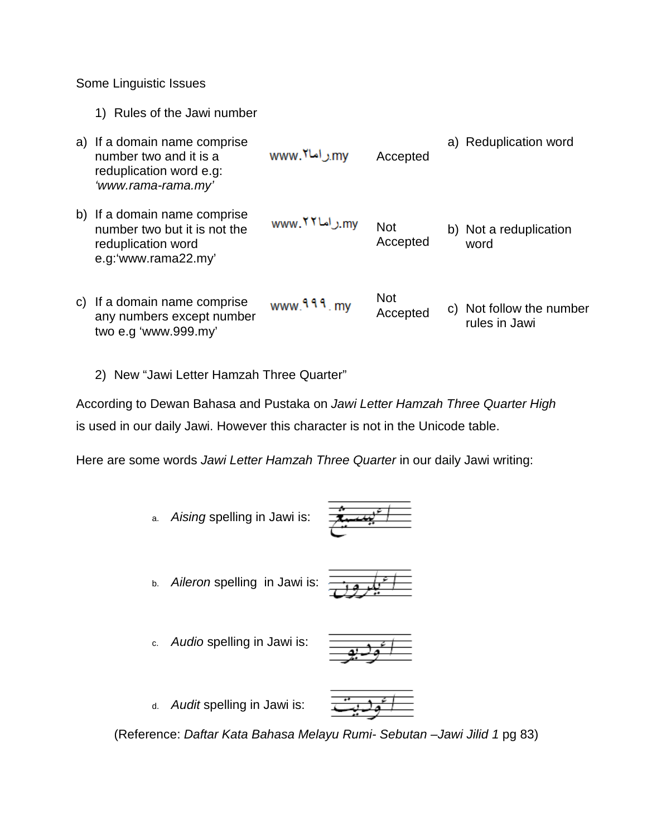Some Linguistic Issues

1) Rules of the Jawi number

| a) If a domain name comprise<br>number two and it is a<br>reduplication word e.g:<br>'www.rama-rama.my'   | www. <sup>۲</sup> l راما | Accepted               | a) Reduplication word                     |
|-----------------------------------------------------------------------------------------------------------|--------------------------|------------------------|-------------------------------------------|
| b) If a domain name comprise<br>number two but it is not the<br>reduplication word<br>e.g:'www.rama22.my' | .mv راما ۷۲ www.         | <b>Not</b><br>Accepted | b) Not a reduplication<br>word            |
| c) If a domain name comprise<br>any numbers except number<br>two e.g 'www.999.my'                         | www.999.my               | <b>Not</b><br>Accepted | c) Not follow the number<br>rules in Jawi |

2) New "Jawi Letter Hamzah Three Quarter"

According to Dewan Bahasa and Pustaka on Jawi Letter Hamzah Three Quarter High is used in our daily Jawi. However this character is not in the Unicode table.

Here are some words Jawi Letter Hamzah Three Quarter in our daily Jawi writing:

a. Aising spelling in Jawi is:



b. Aileron spelling in Jawi is:



c. Audio spelling in Jawi is:



d. Audit spelling in Jawi is:



(Reference: Daftar Kata Bahasa Melayu Rumi- Sebutan –Jawi Jilid 1 pg 83)